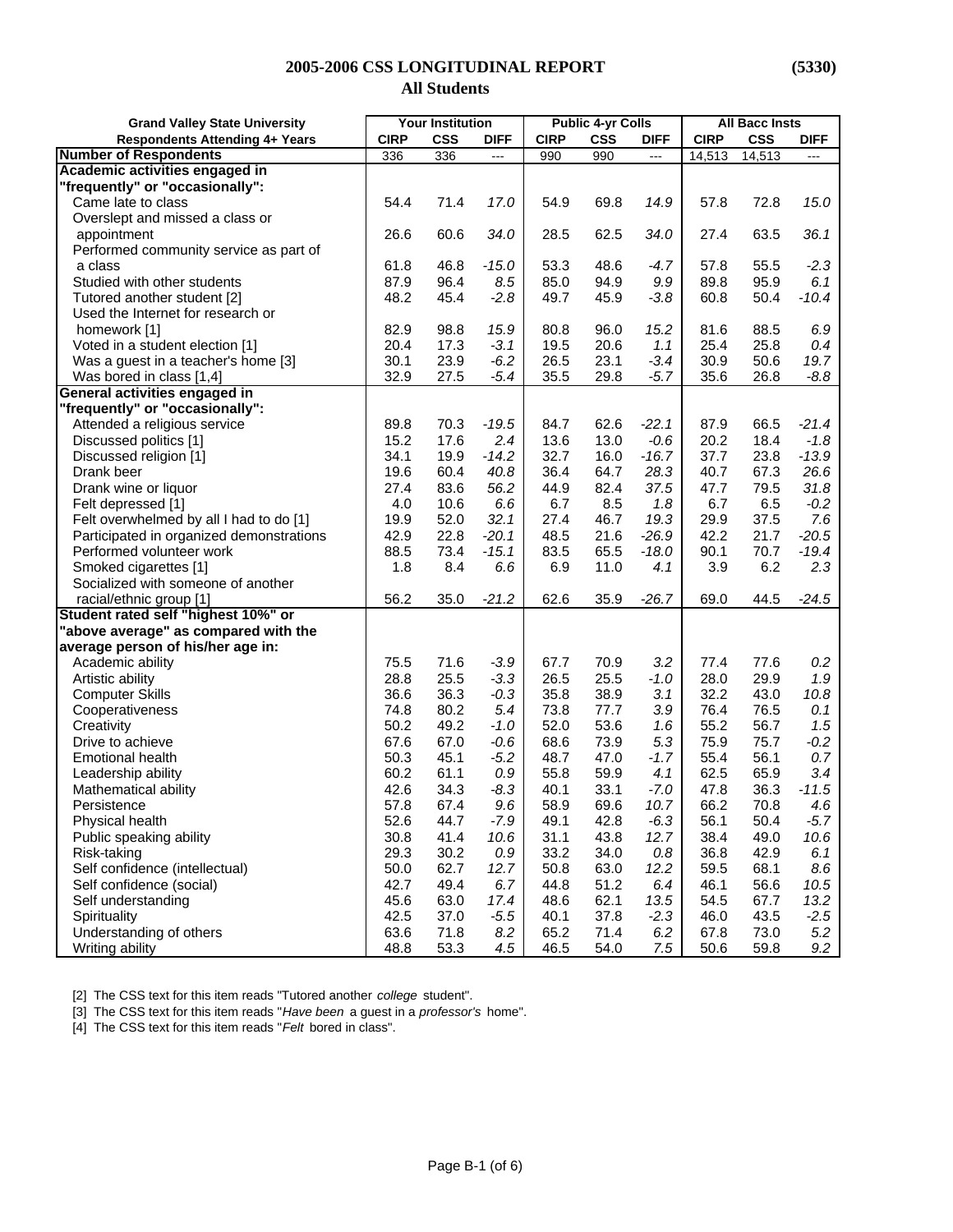#### **2005-2006 CSS LONGITUDINAL REPORT (5330)**

## **All Students**

| <b>Grand Valley State University</b>     | <b>Your Institution</b> |            |                | <b>Public 4-yr Colls</b> |            | <b>All Bacc Insts</b>    |             |            |                |
|------------------------------------------|-------------------------|------------|----------------|--------------------------|------------|--------------------------|-------------|------------|----------------|
| <b>Respondents Attending 4+ Years</b>    | <b>CIRP</b>             | <b>CSS</b> | <b>DIFF</b>    | <b>CIRP</b>              | <b>CSS</b> | <b>DIFF</b>              | <b>CIRP</b> | <b>CSS</b> | <b>DIFF</b>    |
| <b>Number of Respondents</b>             | 336                     | 336        | $\overline{a}$ | 990                      | 990        | $\overline{\phantom{a}}$ | 14,513      | 14,513     | $\overline{a}$ |
| Academic activities engaged in           |                         |            |                |                          |            |                          |             |            |                |
| "frequently" or "occasionally":          |                         |            |                |                          |            |                          |             |            |                |
| Came late to class                       | 54.4                    | 71.4       | 17.0           | 54.9                     | 69.8       | 14.9                     | 57.8        | 72.8       | 15.0           |
| Overslept and missed a class or          |                         |            |                |                          |            |                          |             |            |                |
| appointment                              | 26.6                    | 60.6       | 34.0           | 28.5                     | 62.5       | 34.0                     | 27.4        | 63.5       | 36.1           |
| Performed community service as part of   |                         |            |                |                          |            |                          |             |            |                |
| a class                                  | 61.8                    | 46.8       | $-15.0$        | 53.3                     | 48.6       | $-4.7$                   | 57.8        | 55.5       | $-2.3$         |
| Studied with other students              | 87.9                    | 96.4       | 8.5            | 85.0                     | 94.9       | 9.9                      | 89.8        | 95.9       | 6.1            |
| Tutored another student [2]              | 48.2                    | 45.4       | $-2.8$         | 49.7                     | 45.9       | $-3.8$                   | 60.8        | 50.4       | $-10.4$        |
| Used the Internet for research or        |                         |            |                |                          |            |                          |             |            |                |
| homework [1]                             | 82.9                    | 98.8       | 15.9           | 80.8                     | 96.0       | 15.2                     | 81.6        | 88.5       | 6.9            |
| Voted in a student election [1]          | 20.4                    | 17.3       | $-3.1$         | 19.5                     | 20.6       | 1.1                      | 25.4        | 25.8       | 0.4            |
| Was a guest in a teacher's home [3]      | 30.1                    | 23.9       | $-6.2$         | 26.5                     | 23.1       | $-3.4$                   | 30.9        | 50.6       | 19.7           |
| Was bored in class [1,4]                 | 32.9                    | 27.5       | $-5.4$         | 35.5                     | 29.8       | $-5.7$                   | 35.6        | 26.8       | $-8.8$         |
| General activities engaged in            |                         |            |                |                          |            |                          |             |            |                |
| "frequently" or "occasionally":          |                         |            |                |                          |            |                          |             |            |                |
| Attended a religious service             | 89.8                    | 70.3       | $-19.5$        | 84.7                     | 62.6       | $-22.1$                  | 87.9        | 66.5       | $-21.4$        |
| Discussed politics [1]                   | 15.2                    | 17.6       | 2.4            | 13.6                     | 13.0       | $-0.6$                   | 20.2        | 18.4       | $-1.8$         |
| Discussed religion [1]                   | 34.1                    | 19.9       | $-14.2$        | 32.7                     | 16.0       | $-16.7$                  | 37.7        | 23.8       | $-13.9$        |
| Drank beer                               | 19.6                    | 60.4       | 40.8           | 36.4                     | 64.7       | 28.3                     | 40.7        | 67.3       | 26.6           |
| Drank wine or liquor                     | 27.4                    | 83.6       | 56.2           | 44.9                     | 82.4       | 37.5                     | 47.7        | 79.5       | 31.8           |
| Felt depressed [1]                       | 4.0                     | 10.6       | 6.6            | 6.7                      | 8.5        | 1.8                      | 6.7         | 6.5        | $-0.2$         |
| Felt overwhelmed by all I had to do [1]  | 19.9                    | 52.0       | 32.1           | 27.4                     | 46.7       | 19.3                     | 29.9        | 37.5       | 7.6            |
| Participated in organized demonstrations | 42.9                    | 22.8       | $-20.1$        | 48.5                     | 21.6       | $-26.9$                  | 42.2        | 21.7       | $-20.5$        |
| Performed volunteer work                 | 88.5                    | 73.4       | $-15.1$        | 83.5                     | 65.5       | $-18.0$                  | 90.1        | 70.7       | $-19.4$        |
| Smoked cigarettes [1]                    | 1.8                     | 8.4        | 6.6            | 6.9                      | 11.0       | 4.1                      | 3.9         | 6.2        | 2.3            |
| Socialized with someone of another       |                         |            |                |                          |            |                          |             |            |                |
| racial/ethnic group [1]                  | 56.2                    | 35.0       | $-21.2$        | 62.6                     | 35.9       | $-26.7$                  | 69.0        | 44.5       | $-24.5$        |
| Student rated self "highest 10%" or      |                         |            |                |                          |            |                          |             |            |                |
| "above average" as compared with the     |                         |            |                |                          |            |                          |             |            |                |
| average person of his/her age in:        |                         |            |                |                          |            |                          |             |            |                |
| Academic ability                         | 75.5                    | 71.6       | $-3.9$         | 67.7                     | 70.9       | 3.2                      | 77.4        | 77.6       | 0.2            |
| Artistic ability                         | 28.8                    | 25.5       | $-3.3$         | 26.5                     | 25.5       | $-1.0$                   | 28.0        | 29.9       | 1.9            |
| <b>Computer Skills</b>                   | 36.6                    | 36.3       | $-0.3$         | 35.8                     | 38.9       | 3.1                      | 32.2        | 43.0       | 10.8           |
| Cooperativeness                          | 74.8                    | 80.2       | 5.4            | 73.8                     | 77.7       | 3.9                      | 76.4        | 76.5       | 0.1            |
| Creativity                               | 50.2                    | 49.2       | $-1.0$         | 52.0                     | 53.6       | 1.6                      | 55.2        | 56.7       | 1.5            |
| Drive to achieve                         | 67.6                    | 67.0       | $-0.6$         | 68.6                     | 73.9       | 5.3                      | 75.9        | 75.7       | $-0.2$         |
| <b>Emotional health</b>                  | 50.3                    | 45.1       | $-5.2$         | 48.7                     | 47.0       | $-1.7$                   | 55.4        | 56.1       | 0.7            |
| Leadership ability                       | 60.2                    | 61.1       | 0.9            | 55.8                     | 59.9       | 4.1                      | 62.5        | 65.9       | 3.4            |
| Mathematical ability                     | 42.6                    | 34.3       | $-8.3$         | 40.1                     | 33.1       | $-7.0$                   | 47.8        | 36.3       | $-11.5$        |
| Persistence                              | 57.8                    | 67.4       | 9.6            | 58.9                     | 69.6       | 10.7                     | 66.2        | 70.8       | 4.6            |
| Physical health                          | 52.6                    | 44.7       | $-7.9$         | 49.1                     | 42.8       | $-6.3$                   | 56.1        | 50.4       | $-5.7$         |
| Public speaking ability                  | 30.8                    | 41.4       | 10.6           | 31.1                     | 43.8       | 12.7                     | 38.4        | 49.0       | 10.6           |
| Risk-taking                              | 29.3                    | 30.2       | 0.9            | 33.2                     | 34.0       | 0.8                      | 36.8        | 42.9       | 6.1            |
| Self confidence (intellectual)           | 50.0                    | 62.7       | 12.7           | 50.8                     | 63.0       | 12.2                     | 59.5        | 68.1       | 8.6            |
| Self confidence (social)                 | 42.7                    | 49.4       | 6.7            | 44.8                     | 51.2       | 6.4                      | 46.1        | 56.6       | 10.5           |
| Self understanding                       | 45.6                    | 63.0       | 17.4           | 48.6                     | 62.1       | 13.5                     | 54.5        | 67.7       | 13.2           |
| Spirituality                             | 42.5                    | 37.0       | $-5.5$         | 40.1                     | 37.8       | $-2.3$                   | 46.0        | 43.5       | $-2.5$         |
| Understanding of others                  | 63.6                    | 71.8       | 8.2            | 65.2                     | 71.4       | 6.2                      | 67.8        | 73.0       | 5.2            |
| Writing ability                          | 48.8                    | 53.3       | 4.5            | 46.5                     | 54.0       | 7.5                      | 50.6        | 59.8       | 9.2            |

[2] The CSS text for this item reads "Tutored another *college* student".

[3] The CSS text for this item reads "*Have been* a guest in a *professor's* home".

[4] The CSS text for this item reads "*Felt* bored in class".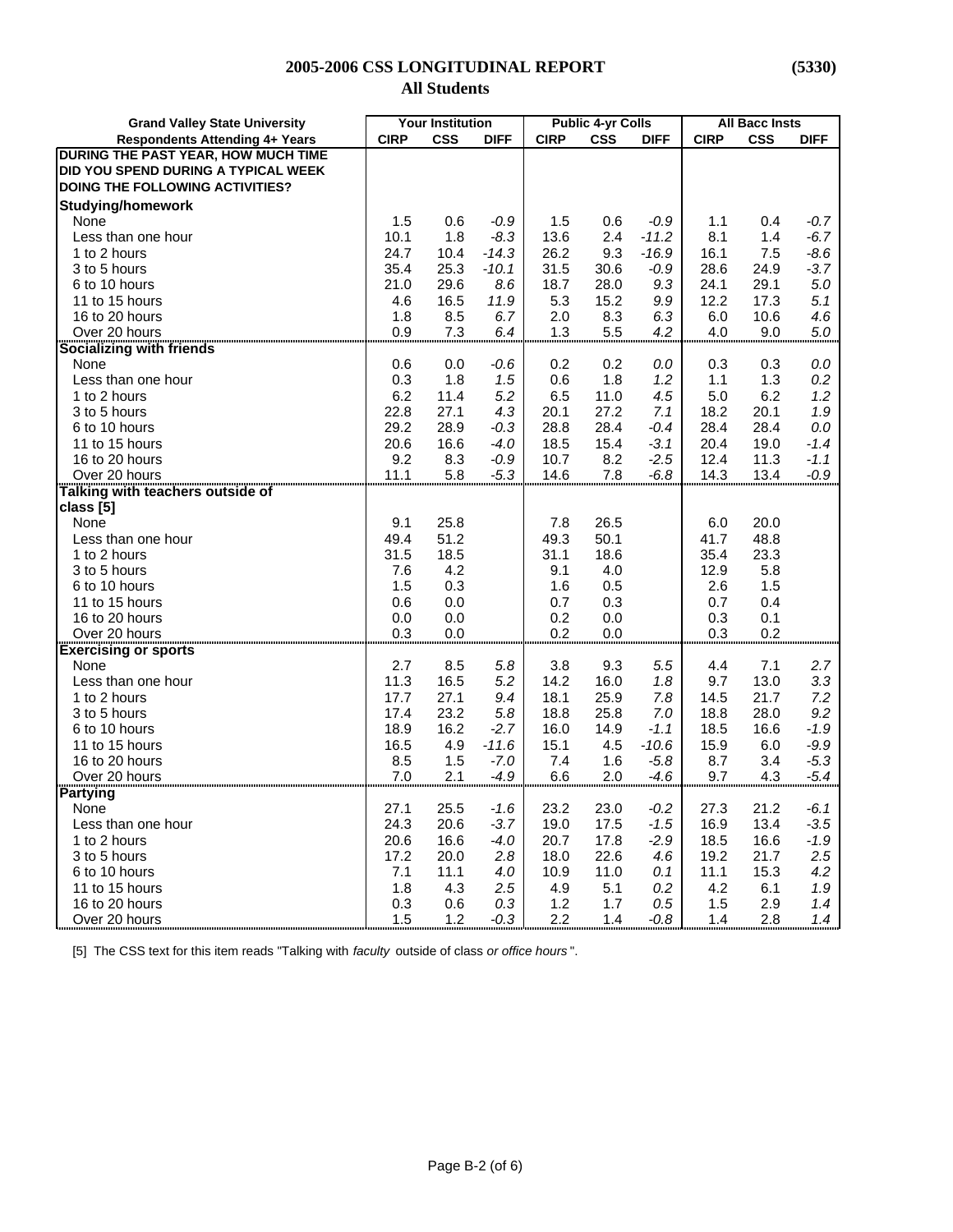| <b>Grand Valley State University</b>   |             | <b>Your Institution</b> |             |             | <b>Public 4-yr Colls</b> |             |             | <b>All Bacc Insts</b> |             |
|----------------------------------------|-------------|-------------------------|-------------|-------------|--------------------------|-------------|-------------|-----------------------|-------------|
| <b>Respondents Attending 4+ Years</b>  | <b>CIRP</b> | <b>CSS</b>              | <b>DIFF</b> | <b>CIRP</b> | <b>CSS</b>               | <b>DIFF</b> | <b>CIRP</b> | <b>CSS</b>            | <b>DIFF</b> |
| DURING THE PAST YEAR, HOW MUCH TIME    |             |                         |             |             |                          |             |             |                       |             |
| DID YOU SPEND DURING A TYPICAL WEEK    |             |                         |             |             |                          |             |             |                       |             |
| <b>DOING THE FOLLOWING ACTIVITIES?</b> |             |                         |             |             |                          |             |             |                       |             |
| <b>Studying/homework</b>               |             |                         |             |             |                          |             |             |                       |             |
| None                                   | 1.5         | 0.6                     | $-0.9$      | 1.5         | 0.6                      | $-0.9$      | 1.1         | 0.4                   | $-0.7$      |
| Less than one hour                     | 10.1        | 1.8                     | $-8.3$      | 13.6        | 2.4                      | $-11.2$     | 8.1         | 1.4                   | $-6.7$      |
| 1 to 2 hours                           | 24.7        | 10.4                    | $-14.3$     | 26.2        | 9.3                      | $-16.9$     | 16.1        | 7.5                   | -8.6        |
| 3 to 5 hours                           | 35.4        | 25.3                    | $-10.1$     | 31.5        | 30.6                     | $-0.9$      | 28.6        | 24.9                  | $-3.7$      |
| 6 to 10 hours                          | 21.0        | 29.6                    | 8.6         | 18.7        | 28.0                     | 9.3         | 24.1        | 29.1                  | 5.0         |
| 11 to 15 hours                         | 4.6         | 16.5                    | 11.9        | 5.3         | 15.2                     | 9.9         | 12.2        | 17.3                  | 5.1         |
| 16 to 20 hours                         | 1.8         | 8.5                     | 6.7         | 2.0         | 8.3                      | 6.3         | 6.0         | 10.6                  | 4.6         |
| Over 20 hours                          | 0.9         | 7.3                     | 6.4         | 1.3         | 5.5                      | 4.2         | 4.0         | 9.0                   | 5.0         |
| Socializing with friends               |             |                         |             |             |                          |             |             |                       |             |
| None                                   |             | 0.0                     | $-0.6$      | 0.2         | 0.2                      | 0.0         | 0.3         | 0.3                   | 0.0         |
| Less than one hour                     | 0.6<br>0.3  |                         |             |             | 1.8                      |             | 1.1         |                       | 0.2         |
|                                        |             | 1.8                     | 1.5         | 0.6         |                          | 1.2         |             | 1.3                   |             |
| 1 to 2 hours                           | 6.2         | 11.4                    | 5.2         | 6.5         | 11.0                     | 4.5         | 5.0         | 6.2                   | 1.2         |
| 3 to 5 hours                           | 22.8        | 27.1                    | 4.3         | 20.1        | 27.2                     | 7.1         | 18.2        | 20.1                  | 1.9         |
| 6 to 10 hours                          | 29.2        | 28.9                    | $-0.3$      | 28.8        | 28.4                     | $-0.4$      | 28.4        | 28.4                  | 0.0         |
| 11 to 15 hours                         | 20.6        | 16.6                    | -4.0        | 18.5        | 15.4                     | $-3.1$      | 20.4        | 19.0                  | $-1.4$      |
| 16 to 20 hours                         | 9.2         | 8.3                     | -0.9        | 10.7        | 8.2                      | $-2.5$      | 12.4        | 11.3                  | $-1.1$      |
| Over 20 hours                          | 11.1        | 5.8                     | $-5.3$      | 14.6        | 7.8                      | $-6.8$      | 14.3        | 13.4                  | $-0.9$      |
| Talking with teachers outside of       |             |                         |             |             |                          |             |             |                       |             |
| class [5]                              |             |                         |             |             |                          |             |             |                       |             |
| None                                   | 9.1         | 25.8                    |             | 7.8         | 26.5                     |             | 6.0         | 20.0                  |             |
| Less than one hour                     | 49.4        | 51.2                    |             | 49.3        | 50.1                     |             | 41.7        | 48.8                  |             |
| 1 to 2 hours                           | 31.5        | 18.5                    |             | 31.1        | 18.6                     |             | 35.4        | 23.3                  |             |
| 3 to 5 hours                           | 7.6         | 4.2                     |             | 9.1         | 4.0                      |             | 12.9        | 5.8                   |             |
| 6 to 10 hours                          | 1.5         | 0.3                     |             | 1.6         | 0.5                      |             | 2.6         | 1.5                   |             |
| 11 to 15 hours                         | 0.6         | 0.0                     |             | 0.7         | 0.3                      |             | 0.7         | 0.4                   |             |
| 16 to 20 hours                         | 0.0         | 0.0                     |             | 0.2         | 0.0                      |             | 0.3         | 0.1                   |             |
| Over 20 hours                          | 0.3         | 0.0                     |             | 0.2         | 0.0                      |             | 0.3         | 0.2                   |             |
| <b>Exercising or sports</b>            |             |                         |             |             |                          |             |             |                       |             |
| None                                   | 2.7         | 8.5                     | 5.8         | 3.8         | 9.3                      | 5.5         | 4.4         | 7.1                   | 2.7         |
| Less than one hour                     | 11.3        | 16.5                    | 5.2         | 14.2        | 16.0                     | 1.8         | 9.7         | 13.0                  | 3.3         |
| 1 to 2 hours                           | 17.7        | 27.1                    | 9.4         | 18.1        | 25.9                     | 7.8         | 14.5        | 21.7                  | 7.2         |
| 3 to 5 hours                           | 17.4        | 23.2                    | 5.8         | 18.8        | 25.8                     | 7.0         | 18.8        | 28.0                  | 9.2         |
| 6 to 10 hours                          | 18.9        | 16.2                    | $-2.7$      | 16.0        | 14.9                     | -1.1        | 18.5        | 16.6                  | $-1.9$      |
| 11 to 15 hours                         | 16.5        | 4.9                     | $-11.6$     | 15.1        | 4.5                      | $-10.6$     | 15.9        | 6.0                   | $-9.9$      |
| 16 to 20 hours                         | 8.5         | 1.5                     | $-7.0$      | 7.4         | 1.6                      | $-5.8$      | 8.7         | 3.4                   | $-5.3$      |
| Over 20 hours                          | 7.0         | 2.1                     | $-4.9$      | 6.6         | 2.0                      | $-4.6$      | 9.7         | 4.3                   | $-5.4$      |
| <b>Partying</b>                        |             |                         |             |             |                          |             |             |                       |             |
| None                                   | 27.1        | 25.5                    | $-1.6$      | 23.2        | 23.0                     | $-0.2$      | 27.3        | 21.2                  | $-6.1$      |
| Less than one hour                     | 24.3        | 20.6                    | $-3.7$      | 19.0        | 17.5                     | $-1.5$      | 16.9        | 13.4                  | $-3.5$      |
| 1 to 2 hours                           | 20.6        | 16.6                    | $-4.0$      | 20.7        | 17.8                     | $-2.9$      | 18.5        | 16.6                  | $-1.9$      |
| 3 to 5 hours                           | 17.2        | 20.0                    | 2.8         | 18.0        | 22.6                     | 4.6         | 19.2        | 21.7                  | 2.5         |
| 6 to 10 hours                          | 7.1         | 11.1                    | 4.0         | 10.9        | 11.0                     | 0.1         | 11.1        | 15.3                  | 4.2         |
| 11 to 15 hours                         | 1.8         | 4.3                     | 2.5         | 4.9         | 5.1                      | 0.2         | 4.2         | 6.1                   | 1.9         |
| 16 to 20 hours                         | 0.3         | 0.6                     | 0.3         | 1.2         | 1.7                      | 0.5         | 1.5         | 2.9                   | 1.4         |
| Over 20 hours                          | 1.5         | 1.2                     | $-0.3$      | 2.2         | 1.4                      | -0.8        | 1.4         | 2.8                   | 1.4         |
|                                        |             |                         |             |             |                          |             |             |                       |             |

[5] The CSS text for this item reads "Talking with *faculty* outside of class *or office hours* ".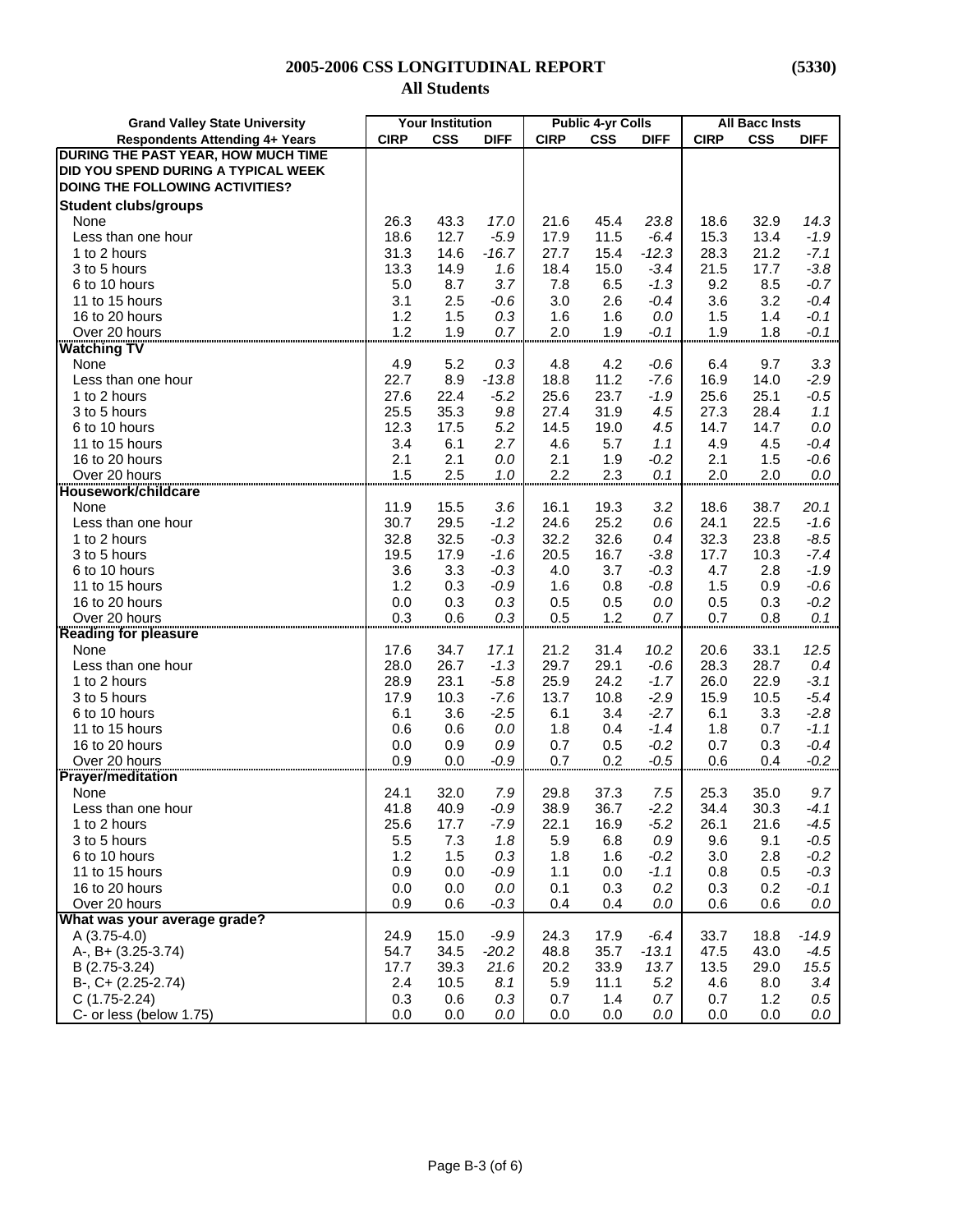| <b>Grand Valley State University</b>       |             | <b>Your Institution</b> |             | <b>Public 4-yr Colls</b> |            |             | <b>All Bacc Insts</b> |            |             |
|--------------------------------------------|-------------|-------------------------|-------------|--------------------------|------------|-------------|-----------------------|------------|-------------|
| <b>Respondents Attending 4+ Years</b>      | <b>CIRP</b> | <b>CSS</b>              | <b>DIFF</b> | <b>CIRP</b>              | <b>CSS</b> | <b>DIFF</b> | <b>CIRP</b>           | <b>CSS</b> | <b>DIFF</b> |
| <b>DURING THE PAST YEAR, HOW MUCH TIME</b> |             |                         |             |                          |            |             |                       |            |             |
| DID YOU SPEND DURING A TYPICAL WEEK        |             |                         |             |                          |            |             |                       |            |             |
| DOING THE FOLLOWING ACTIVITIES?            |             |                         |             |                          |            |             |                       |            |             |
| <b>Student clubs/groups</b>                |             |                         |             |                          |            |             |                       |            |             |
| None                                       | 26.3        | 43.3                    | 17.0        | 21.6                     | 45.4       | 23.8        | 18.6                  | 32.9       | 14.3        |
| Less than one hour                         | 18.6        | 12.7                    | $-5.9$      | 17.9                     | 11.5       | $-6.4$      | 15.3                  | 13.4       | $-1.9$      |
| 1 to 2 hours                               | 31.3        | 14.6                    | $-16.7$     | 27.7                     | 15.4       | $-12.3$     | 28.3                  | 21.2       | $-7.1$      |
| 3 to 5 hours                               | 13.3        | 14.9                    | 1.6         | 18.4                     | 15.0       | $-3.4$      | 21.5                  | 17.7       | $-3.8$      |
| 6 to 10 hours                              | 5.0         | 8.7                     | 3.7         | 7.8                      | 6.5        | $-1.3$      | 9.2                   | 8.5        | $-0.7$      |
| 11 to 15 hours                             | 3.1         | 2.5                     | $-0.6$      |                          | 2.6        | $-0.4$      | 3.6                   | 3.2        | $-0.4$      |
| 16 to 20 hours                             | 1.2         |                         |             | 3.0                      | 1.6        | 0.0         |                       | 1.4        |             |
|                                            |             | 1.5                     | 0.3         | 1.6                      |            |             | 1.5                   |            | $-0.1$      |
| Over 20 hours                              | 1.2         | 1.9                     | 0.7         | 2.0                      | 1.9        | $-0.1$      | 1.9                   | 1.8        | $-0.1$      |
| <b>Watching TV</b>                         |             |                         |             |                          |            |             |                       |            |             |
| None                                       | 4.9         | 5.2                     | 0.3         | 4.8                      | 4.2        | $-0.6$      | 6.4                   | 9.7        | 3.3         |
| Less than one hour                         | 22.7        | 8.9                     | $-13.8$     | 18.8                     | 11.2       | $-7.6$      | 16.9                  | 14.0       | $-2.9$      |
| 1 to 2 hours                               | 27.6        | 22.4                    | $-5.2$      | 25.6                     | 23.7       | $-1.9$      | 25.6                  | 25.1       | $-0.5$      |
| 3 to 5 hours                               | 25.5        | 35.3                    | 9.8         | 27.4                     | 31.9       | 4.5         | 27.3                  | 28.4       | 1.1         |
| 6 to 10 hours                              | 12.3        | 17.5                    | 5.2         | 14.5                     | 19.0       | 4.5         | 14.7                  | 14.7       | 0.0         |
| 11 to 15 hours                             | 3.4         | 6.1                     | 2.7         | 4.6                      | 5.7        | 1.1         | 4.9                   | 4.5        | $-0.4$      |
| 16 to 20 hours                             | 2.1         | 2.1                     | 0.0         | 2.1                      | 1.9        | $-0.2$      | 2.1                   | 1.5        | $-0.6$      |
| Over 20 hours                              | 1.5         | 2.5                     | 1.0         | 2.2                      | 2.3        | 0.1         | 2.0                   | 2.0        | 0.0         |
| Housework/childcare                        |             |                         |             |                          |            |             |                       |            |             |
| None                                       | 11.9        | 15.5                    | 3.6         | 16.1                     | 19.3       | 3.2         | 18.6                  | 38.7       | 20.1        |
| Less than one hour                         | 30.7        | 29.5                    | $-1.2$      | 24.6                     | 25.2       | 0.6         | 24.1                  | 22.5       | $-1.6$      |
| 1 to 2 hours                               | 32.8        | 32.5                    | $-0.3$      | 32.2                     | 32.6       | 0.4         | 32.3                  | 23.8       | $-8.5$      |
| 3 to 5 hours                               | 19.5        | 17.9                    | $-1.6$      | 20.5                     | 16.7       | $-3.8$      | 17.7                  | 10.3       | $-7.4$      |
| 6 to 10 hours                              | 3.6         | 3.3                     | $-0.3$      | 4.0                      | 3.7        | $-0.3$      | 4.7                   | 2.8        | $-1.9$      |
| 11 to 15 hours                             | 1.2         | 0.3                     | $-0.9$      | 1.6                      | 0.8        | $-0.8$      | 1.5                   | 0.9        | $-0.6$      |
| 16 to 20 hours                             | 0.0         | 0.3                     | 0.3         | 0.5                      | 0.5        | 0.0         | 0.5                   | 0.3        | $-0.2$      |
| Over 20 hours                              | 0.3         | 0.6                     | 0.3         | 0.5                      | 1.2        | 0.7         | 0.7                   | 0.8        | 0.1         |
| <b>Reading for pleasure</b>                |             |                         |             |                          |            |             |                       |            |             |
| None                                       | 17.6        | 34.7                    | 17.1        | 21.2                     | 31.4       | 10.2        | 20.6                  | 33.1       | 12.5        |
| Less than one hour                         | 28.0        | 26.7                    | $-1.3$      | 29.7                     | 29.1       | $-0.6$      | 28.3                  | 28.7       | 0.4         |
| 1 to 2 hours                               | 28.9        | 23.1                    | $-5.8$      | 25.9                     | 24.2       | $-1.7$      | 26.0                  | 22.9       | $-3.1$      |
| 3 to 5 hours                               | 17.9        | 10.3                    | $-7.6$      | 13.7                     | 10.8       | $-2.9$      | 15.9                  | 10.5       | $-5.4$      |
| 6 to 10 hours                              | 6.1         | 3.6                     | $-2.5$      | 6.1                      | 3.4        | $-2.7$      | 6.1                   | 3.3        | $-2.8$      |
| 11 to 15 hours                             | 0.6         | 0.6                     | 0.0         | 1.8                      | 0.4        | $-1.4$      | 1.8                   | 0.7        | $-1.1$      |
| 16 to 20 hours                             | 0.0         | 0.9                     | 0.9         | 0.7                      | 0.5        | $-0.2$      | 0.7                   | 0.3        | $-0.4$      |
| Over 20 hours                              | 0.9         | 0.0                     | $-0.9$      | 0.7                      | 0.2        | $-0.5$      | 0.6                   | 0.4        | $-0.2$      |
| <b>Prayer/meditation</b>                   |             |                         |             |                          |            |             |                       |            |             |
| None                                       | 24.1        | 32.0                    | 7.9         | 29.8                     | 37.3       | 7.5         | 25.3                  | 35.0       | 9.7         |
| Less than one hour                         | 41.8        | 40.9                    | $-0.9$      | 38.9                     | 36.7       | $-2.2$      | 34.4                  | 30.3       | $-4.1$      |
| 1 to 2 hours                               | 25.6        | 17.7                    | $-7.9$      | 22.1                     | 16.9       | $-5.2$      | 26.1                  | 21.6       | $-4.5$      |
| 3 to 5 hours                               | 5.5         | 7.3                     | 1.8         | 5.9                      | 6.8        | 0.9         | 9.6                   | 9.1        | $-0.5$      |
| 6 to 10 hours                              | 1.2         | 1.5                     | 0.3         | 1.8                      | 1.6        | $-0.2$      | 3.0                   | 2.8        | $-0.2$      |
| 11 to 15 hours                             | 0.9         | 0.0                     | $-0.9$      | 1.1                      | 0.0        | $-1.1$      | 0.8                   | 0.5        | $-0.3$      |
| 16 to 20 hours                             | 0.0         | 0.0                     | $0.0\,$     | 0.1                      | 0.3        | 0.2         | 0.3                   | 0.2        | $-0.1$      |
| Over 20 hours                              | 0.9         | 0.6                     | $-0.3$      | 0.4                      | 0.4        | 0.0         | 0.6                   | 0.6        | 0.0         |
| What was your average grade?               |             |                         |             |                          |            |             |                       |            |             |
| $A(3.75-4.0)$                              | 24.9        | 15.0                    | $-9.9$      | 24.3                     | 17.9       | $-6.4$      | 33.7                  | 18.8       | $-14.9$     |
| A-, B+ (3.25-3.74)                         | 54.7        | 34.5                    | $-20.2$     | 48.8                     | 35.7       | $-13.1$     | 47.5                  | 43.0       | $-4.5$      |
| B (2.75-3.24)                              | 17.7        | 39.3                    | 21.6        | 20.2                     | 33.9       | 13.7        | 13.5                  | 29.0       | 15.5        |
| B-, C+ (2.25-2.74)                         | 2.4         | 10.5                    | 8.1         | 5.9                      | 11.1       | 5.2         | 4.6                   | 8.0        | 3.4         |
| $C(1.75-2.24)$                             | 0.3         | 0.6                     | 0.3         | 0.7                      | 1.4        | 0.7         | 0.7                   | 1.2        | 0.5         |
| C- or less (below 1.75)                    | 0.0         | 0.0                     | 0.0         | 0.0                      | 0.0        | 0.0         | 0.0                   | 0.0        | 0.0         |
|                                            |             |                         |             |                          |            |             |                       |            |             |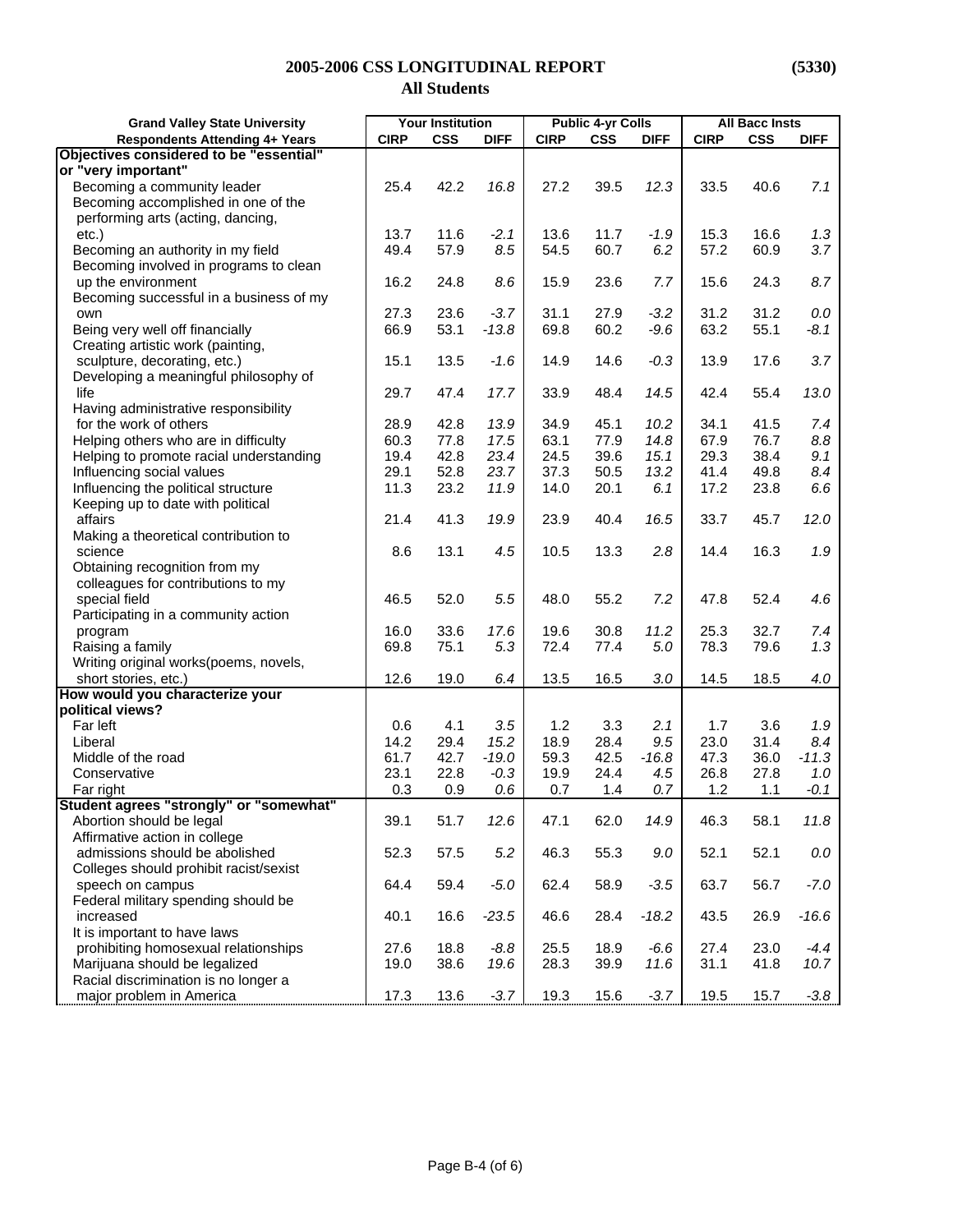| <b>Grand Valley State University</b>    | <b>Your Institution</b> |            | <b>Public 4-yr Colls</b> |              |            | <b>All Bacc Insts</b> |             |            |             |
|-----------------------------------------|-------------------------|------------|--------------------------|--------------|------------|-----------------------|-------------|------------|-------------|
| <b>Respondents Attending 4+ Years</b>   | <b>CIRP</b>             | <b>CSS</b> | <b>DIFF</b>              | <b>CIRP</b>  | <b>CSS</b> | <b>DIFF</b>           | <b>CIRP</b> | <b>CSS</b> | <b>DIFF</b> |
| Objectives considered to be "essential" |                         |            |                          |              |            |                       |             |            |             |
| or "very important"                     |                         |            |                          |              |            |                       |             |            |             |
| Becoming a community leader             | 25.4                    | 42.2       | 16.8                     | 27.2         | 39.5       | 12.3                  | 33.5        | 40.6       | 7.1         |
| Becoming accomplished in one of the     |                         |            |                          |              |            |                       |             |            |             |
| performing arts (acting, dancing,       |                         |            |                          |              |            |                       |             |            |             |
| etc.)                                   | 13.7                    | 11.6       | $-2.1$                   | 13.6         | 11.7       | $-1.9$                | 15.3        | 16.6       | 1.3         |
| Becoming an authority in my field       | 49.4                    | 57.9       | 8.5                      | 54.5         | 60.7       | 6.2                   | 57.2        | 60.9       | 3.7         |
| Becoming involved in programs to clean  |                         |            |                          |              |            |                       |             |            |             |
| up the environment                      | 16.2                    | 24.8       | 8.6                      | 15.9         | 23.6       | 7.7                   | 15.6        | 24.3       | 8.7         |
| Becoming successful in a business of my |                         |            |                          |              |            |                       |             |            |             |
| own                                     | 27.3                    | 23.6       | $-3.7$                   | 31.1         | 27.9       | $-3.2$                | 31.2        | 31.2       | $0.0\,$     |
| Being very well off financially         | 66.9                    | 53.1       | $-13.8$                  | 69.8         | 60.2       | $-9.6$                | 63.2        | 55.1       | $-8.1$      |
| Creating artistic work (painting,       |                         |            |                          |              |            |                       |             |            |             |
| sculpture, decorating, etc.)            | 15.1                    | 13.5       | $-1.6$                   | 14.9         | 14.6       | $-0.3$                | 13.9        | 17.6       | 3.7         |
| Developing a meaningful philosophy of   |                         |            |                          |              |            |                       |             |            |             |
| life                                    | 29.7                    | 47.4       | 17.7                     | 33.9         | 48.4       | 14.5                  | 42.4        | 55.4       | 13.0        |
| Having administrative responsibility    |                         |            |                          |              |            |                       |             |            |             |
| for the work of others                  | 28.9                    | 42.8       | 13.9                     | 34.9         | 45.1       | 10.2                  | 34.1        | 41.5       | 7.4         |
| Helping others who are in difficulty    | 60.3                    | 77.8       | 17.5                     | 63.1         | 77.9       | 14.8                  | 67.9        | 76.7       | 8.8         |
| Helping to promote racial understanding | 19.4                    | 42.8       | 23.4                     | 24.5         | 39.6       | 15.1                  | 29.3        | 38.4       | 9.1         |
| Influencing social values               | 29.1                    | 52.8       | 23.7                     | 37.3         | 50.5       | 13.2                  | 41.4        | 49.8       | 8.4         |
| Influencing the political structure     | 11.3                    | 23.2       | 11.9                     | 14.0         | 20.1       | 6.1                   | 17.2        | 23.8       | 6.6         |
| Keeping up to date with political       |                         |            |                          |              |            |                       |             |            |             |
| affairs                                 | 21.4                    | 41.3       | 19.9                     | 23.9         | 40.4       | 16.5                  | 33.7        | 45.7       | 12.0        |
| Making a theoretical contribution to    |                         |            |                          |              |            |                       |             |            |             |
| science                                 | 8.6                     | 13.1       | 4.5                      | 10.5         | 13.3       | 2.8                   | 14.4        | 16.3       | 1.9         |
| Obtaining recognition from my           |                         |            |                          |              |            |                       |             |            |             |
| colleagues for contributions to my      |                         |            |                          |              |            |                       |             |            |             |
|                                         | 46.5                    | 52.0       | 5.5                      | 48.0         | 55.2       | 7.2                   | 47.8        | 52.4       | 4.6         |
| special field                           |                         |            |                          |              |            |                       |             |            |             |
| Participating in a community action     | 16.0                    | 33.6       | 17.6                     |              | 30.8       | 11.2                  | 25.3        | 32.7       | 7.4         |
| program                                 | 69.8                    | 75.1       | 5.3                      | 19.6<br>72.4 | 77.4       | $5.0\,$               | 78.3        | 79.6       | 1.3         |
| Raising a family                        |                         |            |                          |              |            |                       |             |            |             |
| Writing original works(poems, novels,   |                         |            |                          |              |            |                       |             |            |             |
| short stories, etc.)                    | 12.6                    | 19.0       | 6.4                      | 13.5         | 16.5       | 3.0                   | 14.5        | 18.5       | 4.0         |
| How would you characterize your         |                         |            |                          |              |            |                       |             |            |             |
| political views?                        |                         |            |                          |              |            |                       |             |            |             |
| Far left                                | 0.6                     | 4.1        | 3.5                      | 1.2          | 3.3        | 2.1                   | 1.7         | 3.6        | 1.9         |
| Liberal                                 | 14.2                    | 29.4       | 15.2                     | 18.9         | 28.4       | 9.5                   | 23.0        | 31.4       | 8.4         |
| Middle of the road                      | 61.7                    | 42.7       | $-19.0$                  | 59.3         | 42.5       | $-16.8$               | 47.3        | 36.0       | $-11.3$     |
| Conservative                            | 23.1                    | 22.8       | $-0.3$                   | 19.9         | 24.4       | 4.5                   | 26.8        | 27.8       | 1.0         |
| Far right                               | 0.3                     | 0.9        | 0.6                      | 0.7          | 1.4        | 0.7                   | 1.2         | 1.1        | $-0.1$      |
| Student agrees "strongly" or "somewhat" |                         |            |                          |              |            |                       |             |            |             |
| Abortion should be legal                | 39.1                    | 51.7       | 12.6                     | 47.1         | 62.0       | 14.9                  | 46.3        | 58.1       | 11.8        |
| Affirmative action in college           |                         |            |                          |              |            |                       |             |            |             |
| admissions should be abolished          | 52.3                    | 57.5       | 5.2                      | 46.3         | 55.3       | 9.0                   | 52.1        | 52.1       | $0.0\,$     |
| Colleges should prohibit racist/sexist  |                         |            |                          |              |            |                       |             |            |             |
| speech on campus                        | 64.4                    | 59.4       | $-5.0$                   | 62.4         | 58.9       | $-3.5$                | 63.7        | 56.7       | $-7.0$      |
| Federal military spending should be     |                         |            |                          |              |            |                       |             |            |             |
| increased                               | 40.1                    | 16.6       | $-23.5$                  | 46.6         | 28.4       | $-18.2$               | 43.5        | 26.9       | $-16.6$     |
| It is important to have laws            |                         |            |                          |              |            |                       |             |            |             |
| prohibiting homosexual relationships    | 27.6                    | 18.8       | $-8.8$                   | 25.5         | 18.9       | $-6.6$                | 27.4        | 23.0       | $-4.4$      |
| Marijuana should be legalized           | 19.0                    | 38.6       | 19.6                     | 28.3         | 39.9       | 11.6                  | 31.1        | 41.8       | 10.7        |
| Racial discrimination is no longer a    |                         |            |                          |              |            |                       |             |            |             |
| major problem in America                | 17.3                    | 13.6       | $-3.7$                   | 19.3         | 15.6       | $-3.7$                | 19.5        | 15.7       | $-3.8$      |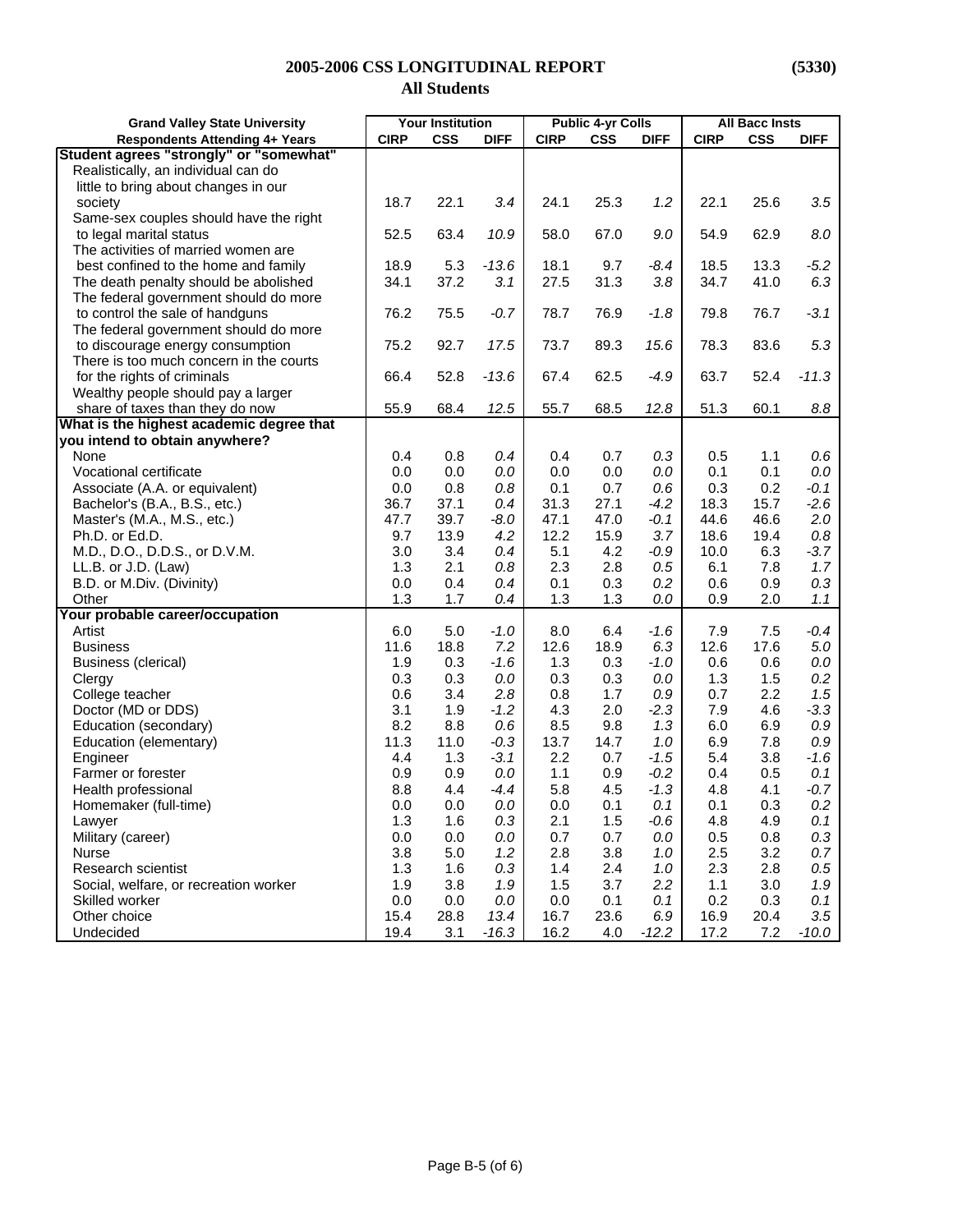# **2005-2006 CSS LONGITUDINAL REPORT (5330)**

## **All Students**

| <b>Grand Valley State University</b>     | <b>Your Institution</b> |            | <b>Public 4-yr Colls</b> |             |            | <b>All Bacc Insts</b> |             |            |             |
|------------------------------------------|-------------------------|------------|--------------------------|-------------|------------|-----------------------|-------------|------------|-------------|
| <b>Respondents Attending 4+ Years</b>    | <b>CIRP</b>             | <b>CSS</b> | <b>DIFF</b>              | <b>CIRP</b> | <b>CSS</b> | <b>DIFF</b>           | <b>CIRP</b> | <b>CSS</b> | <b>DIFF</b> |
| Student agrees "strongly" or "somewhat"  |                         |            |                          |             |            |                       |             |            |             |
| Realistically, an individual can do      |                         |            |                          |             |            |                       |             |            |             |
| little to bring about changes in our     |                         |            |                          |             |            |                       |             |            |             |
| society                                  | 18.7                    | 22.1       | 3.4                      | 24.1        | 25.3       | 1.2                   | 22.1        | 25.6       | 3.5         |
| Same-sex couples should have the right   |                         |            |                          |             |            |                       |             |            |             |
| to legal marital status                  | 52.5                    | 63.4       | 10.9                     | 58.0        | 67.0       | 9.0                   | 54.9        | 62.9       | $8.0\,$     |
| The activities of married women are      |                         |            |                          |             |            |                       |             |            |             |
| best confined to the home and family     | 18.9                    | 5.3        | $-13.6$                  | 18.1        | 9.7        | $-8.4$                | 18.5        | 13.3       | $-5.2$      |
| The death penalty should be abolished    | 34.1                    | 37.2       | 3.1                      | 27.5        | 31.3       | 3.8                   | 34.7        | 41.0       | 6.3         |
| The federal government should do more    |                         |            |                          |             |            |                       |             |            |             |
| to control the sale of handguns          | 76.2                    | 75.5       | $-0.7$                   | 78.7        | 76.9       | $-1.8$                | 79.8        | 76.7       | $-3.1$      |
| The federal government should do more    |                         |            |                          |             |            |                       |             |            |             |
| to discourage energy consumption         | 75.2                    | 92.7       | 17.5                     | 73.7        | 89.3       | 15.6                  | 78.3        | 83.6       | 5.3         |
| There is too much concern in the courts  |                         |            |                          |             |            |                       |             |            |             |
| for the rights of criminals              | 66.4                    | 52.8       | $-13.6$                  | 67.4        | 62.5       | $-4.9$                | 63.7        | 52.4       | $-11.3$     |
| Wealthy people should pay a larger       |                         |            |                          |             |            |                       |             |            |             |
| share of taxes than they do now          | 55.9                    | 68.4       | 12.5                     | 55.7        | 68.5       | 12.8                  | 51.3        | 60.1       | 8.8         |
| What is the highest academic degree that |                         |            |                          |             |            |                       |             |            |             |
| you intend to obtain anywhere?           |                         |            |                          |             |            |                       |             |            |             |
| None                                     | 0.4                     | 0.8        | 0.4                      | 0.4         | 0.7        | 0.3                   | 0.5         | 1.1        | 0.6         |
| Vocational certificate                   | 0.0                     | 0.0        | 0.0                      | 0.0         | 0.0        | 0.0                   | 0.1         | 0.1        | $0.0\,$     |
| Associate (A.A. or equivalent)           | 0.0                     | 0.8        | $0.8\,$                  | 0.1         | 0.7        | 0.6                   | 0.3         | 0.2        | $-0.1$      |
| Bachelor's (B.A., B.S., etc.)            | 36.7                    | 37.1       | 0.4                      | 31.3        | 27.1       | $-4.2$                | 18.3        | 15.7       | $-2.6$      |
| Master's (M.A., M.S., etc.)              | 47.7                    | 39.7       | $-8.0$                   | 47.1        | 47.0       | $-0.1$                | 44.6        | 46.6       | $2.0\,$     |
| Ph.D. or Ed.D.                           | 9.7                     | 13.9       | 4.2                      | 12.2        | 15.9       | 3.7                   | 18.6        | 19.4       | $0.8\,$     |
| M.D., D.O., D.D.S., or D.V.M.            | 3.0                     | 3.4        | 0.4                      | 5.1         | 4.2        | $-0.9$                | 10.0        | 6.3        | $-3.7$      |
| LL.B. or J.D. (Law)                      | 1.3                     | 2.1        | 0.8                      | 2.3         | 2.8        | 0.5                   | 6.1         | 7.8        | 1.7         |
| B.D. or M.Div. (Divinity)                | 0.0                     | 0.4        | 0.4                      | 0.1         | 0.3        | 0.2                   | 0.6         | 0.9        | 0.3         |
| Other                                    | 1.3                     | 1.7        | 0.4                      | 1.3         | 1.3        | $0.0\,$               | 0.9         | 2.0        | 1.1         |
| Your probable career/occupation          |                         |            |                          |             |            |                       |             |            |             |
| Artist                                   | 6.0                     | 5.0        | $-1.0$                   | 8.0         | 6.4        | $-1.6$                | 7.9         | 7.5        | $-0.4$      |
| <b>Business</b>                          | 11.6                    | 18.8       | 7.2                      | 12.6        | 18.9       | 6.3                   | 12.6        | 17.6       | $5.0\,$     |
| Business (clerical)                      | 1.9                     | 0.3        | $-1.6$                   | 1.3         | 0.3        | $-1.0$                | 0.6         | 0.6        | $0.0\,$     |
| Clergy                                   | 0.3                     | 0.3        | 0.0                      | 0.3         | 0.3        | 0.0                   | 1.3         | 1.5        | 0.2         |
| College teacher                          | 0.6                     | 3.4        | 2.8                      | 0.8         | 1.7        | 0.9                   | 0.7         | 2.2        | 1.5         |
| Doctor (MD or DDS)                       | 3.1                     | 1.9        | $-1.2$                   | 4.3         | 2.0        | $-2.3$                | 7.9         | 4.6        | $-3.3$      |
| Education (secondary)                    | 8.2                     | 8.8        | 0.6                      | 8.5         | 9.8        | 1.3                   | 6.0         | 6.9        | 0.9         |
| Education (elementary)                   | 11.3                    | 11.0       | $-0.3$                   | 13.7        | 14.7       | 1.0                   | 6.9         | 7.8        | $0.9\,$     |
| Engineer                                 | 4.4                     | 1.3        | $-3.1$                   | 2.2         | 0.7        | $-1.5$                | 5.4         | 3.8        | $-1.6$      |
| Farmer or forester                       | 0.9                     | 0.9        | 0.0                      | 1.1         | 0.9        | $-0.2$                | 0.4         | 0.5        | 0.1         |
| Health professional                      | 8.8                     | 4.4        | $-4.4$                   | 5.8         | 4.5        | $-1.3$                | 4.8         | 4.1        | $-0.7$      |
| Homemaker (full-time)                    | 0.0                     | 0.0        | 0.0                      | 0.0         | 0.1        | 0.1                   | 0.1         | 0.3        | 0.2         |
| Lawyer                                   | 1.3                     | 1.6        | 0.3                      | 2.1         | 1.5        | $-0.6$                | 4.8         | 4.9        | 0.1         |
| Military (career)                        | 0.0                     | 0.0        | $0.0\,$                  | 0.7         | 0.7        | $0.0\,$               | 0.5         | 0.8        | 0.3         |
| <b>Nurse</b>                             | 3.8                     | 5.0        | 1.2                      | 2.8         | 3.8        | 1.0                   | 2.5         | 3.2        | 0.7         |
| Research scientist                       | 1.3                     | 1.6        | 0.3                      | 1.4         | 2.4        | 1.0                   | 2.3         | 2.8        | 0.5         |
| Social, welfare, or recreation worker    | 1.9                     | 3.8        | 1.9                      | 1.5         | 3.7        | 2.2                   | 1.1         | 3.0        | 1.9         |
| Skilled worker                           | 0.0                     | 0.0        | 0.0                      | 0.0         | 0.1        | 0.1                   | 0.2         | 0.3        | 0.1         |
| Other choice                             | 15.4                    | 28.8       | 13.4                     | 16.7        | 23.6       | 6.9                   | 16.9        | 20.4       | 3.5         |
| Undecided                                | 19.4                    | 3.1        | $-16.3$                  | 16.2        | 4.0        | $-12.2$               | 17.2        | 7.2        | $-10.0$     |